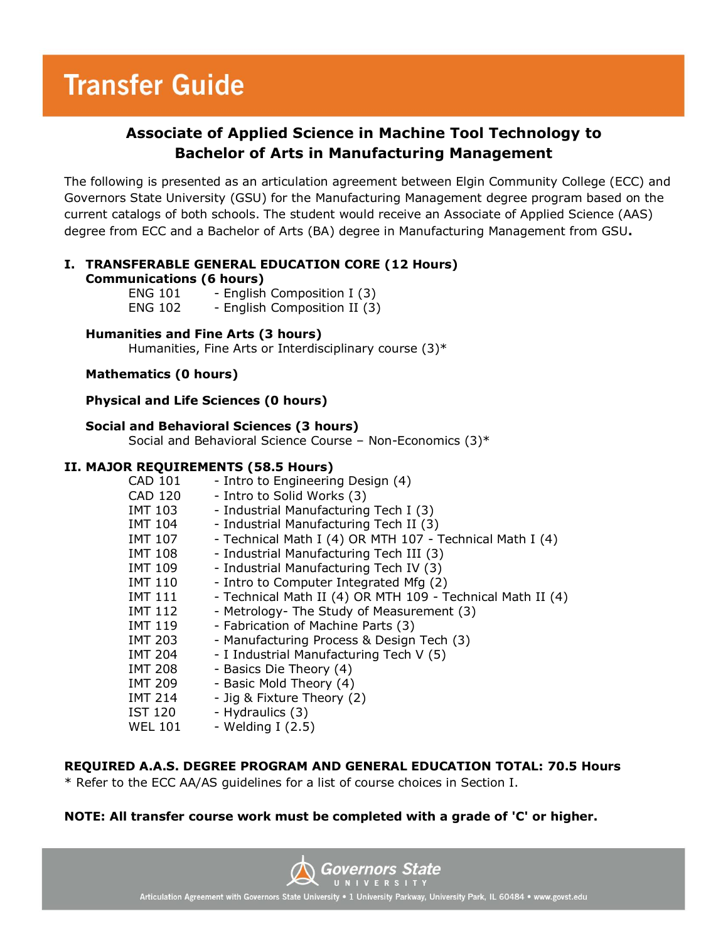# **Transfer Guide**

# **Associate of Applied Science in Machine Tool Technology to Bachelor of Arts in Manufacturing Management**

The following is presented as an articulation agreement between Elgin Community College (ECC) and Governors State University (GSU) for the Manufacturing Management degree program based on the current catalogs of both schools. The student would receive an Associate of Applied Science (AAS) degree from ECC and a Bachelor of Arts (BA) degree in Manufacturing Management from GSU**.**

#### **I. TRANSFERABLE GENERAL EDUCATION CORE (12 Hours) Communications (6 hours)**

| <b>ENG 101</b> | - English Composition I (3)  |
|----------------|------------------------------|
| <b>ENG 102</b> | - English Composition II (3) |

#### **Humanities and Fine Arts (3 hours)**

Humanities, Fine Arts or Interdisciplinary course (3)\*

#### **Mathematics (0 hours)**

#### **Physical and Life Sciences (0 hours)**

#### **Social and Behavioral Sciences (3 hours)**

Social and Behavioral Science Course – Non-Economics (3)\*

#### **II. MAJOR REQUIREMENTS (58.5 Hours)**

| <b>CAD 101</b> | - Intro to Engineering Design (4)                          |
|----------------|------------------------------------------------------------|
| <b>CAD 120</b> | - Intro to Solid Works (3)                                 |
| IMT 103        | - Industrial Manufacturing Tech I (3)                      |
| <b>IMT 104</b> | - Industrial Manufacturing Tech II (3)                     |
| IMT 107        | - Technical Math I (4) OR MTH 107 - Technical Math I (4)   |
| IMT 108        | - Industrial Manufacturing Tech III (3)                    |
| <b>IMT 109</b> | - Industrial Manufacturing Tech IV (3)                     |
| <b>IMT 110</b> | - Intro to Computer Integrated Mfg (2)                     |
| <b>IMT 111</b> | - Technical Math II (4) OR MTH 109 - Technical Math II (4) |
| <b>IMT 112</b> | - Metrology- The Study of Measurement (3)                  |
| <b>IMT 119</b> | - Fabrication of Machine Parts (3)                         |
| IMT 203        | - Manufacturing Process & Design Tech (3)                  |
| <b>IMT 204</b> | - I Industrial Manufacturing Tech V (5)                    |
| IMT 208        | - Basics Die Theory (4)                                    |
| IMT 209        | - Basic Mold Theory (4)                                    |
| <b>IMT 214</b> | - Jig & Fixture Theory (2)                                 |
| IST 120        | - Hydraulics (3)                                           |
| <b>WEL 101</b> | - Welding I (2.5)                                          |

# **REQUIRED A.A.S. DEGREE PROGRAM AND GENERAL EDUCATION TOTAL: 70.5 Hours**

\* Refer to the ECC AA/AS guidelines for a list of course choices in Section I.

### **NOTE: All transfer course work must be completed with a grade of 'C' or higher.**